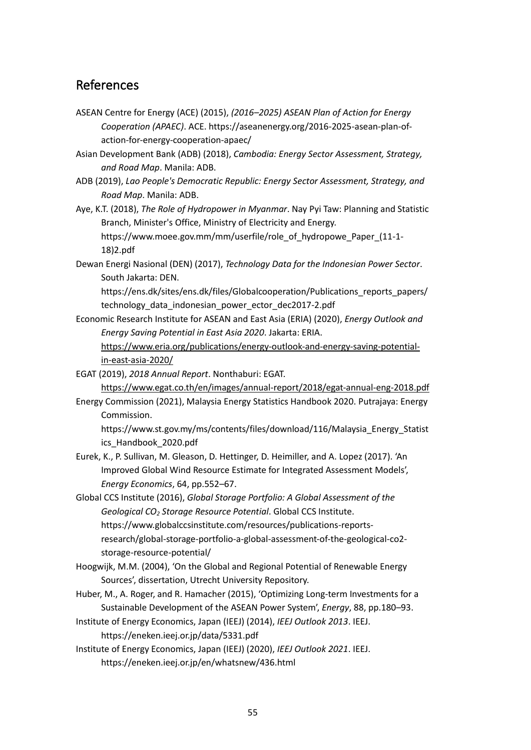## References

- ASEAN Centre for Energy (ACE) (2015), *(2016–2025) ASEAN Plan of Action for Energy Cooperation (APAEC)*. ACE. https://aseanenergy.org/2016-2025-asean-plan-ofaction-for-energy-cooperation-apaec/
- Asian Development Bank (ADB) (2018), *Cambodia: Energy Sector Assessment, Strategy, and Road Map*. Manila: ADB.
- ADB (2019), *Lao People's Democratic Republic: Energy Sector Assessment, Strategy, and Road Map*. Manila: ADB.

Aye, K.T. (2018), *The Role of Hydropower in Myanmar*. Nay Pyi Taw: Planning and Statistic Branch, Minister's Office, Ministry of Electricity and Energy. https://www.moee.gov.mm/mm/userfile/role\_of\_hydropowe\_Paper\_(11-1- 18)2.pdf

Dewan Energi Nasional (DEN) (2017), *Technology Data for the Indonesian Power Sector*. South Jakarta: DEN.

https://ens.dk/sites/ens.dk/files/Globalcooperation/Publications\_reports\_papers/ technology\_data\_indonesian\_power\_ector\_dec2017-2.pdf

- Economic Research Institute for ASEAN and East Asia (ERIA) (2020), *Energy Outlook and Energy Saving Potential in East Asia 2020*. Jakarta: ERIA. [https://www.eria.org/publications/energy-outlook-and-energy-saving-potential](https://www.eria.org/publications/energy-outlook-and-energy-saving-potential-in-east-asia-2020/)[in-east-asia-2020/](https://www.eria.org/publications/energy-outlook-and-energy-saving-potential-in-east-asia-2020/)
- EGAT (2019), *2018 Annual Report*. Nonthaburi: EGAT. <https://www.egat.co.th/en/images/annual-report/2018/egat-annual-eng-2018.pdf>
- Energy Commission (2021), Malaysia Energy Statistics Handbook 2020. Putrajaya: Energy Commission.

https://www.st.gov.my/ms/contents/files/download/116/Malaysia\_Energy\_Statist ics\_Handbook\_2020.pdf

Eurek, K., P. Sullivan, M. Gleason, D. Hettinger, D. Heimiller, and A. Lopez (2017). 'An Improved Global Wind Resource Estimate for Integrated Assessment Models', *Energy Economics*, 64, pp.552–67.

Global CCS Institute (2016), *Global Storage Portfolio: A Global Assessment of the Geological CO<sup>2</sup> Storage Resource Potential*. Global CCS Institute. https://www.globalccsinstitute.com/resources/publications-reportsresearch/global-storage-portfolio-a-global-assessment-of-the-geological-co2 storage-resource-potential/

- Hoogwijk, M.M. (2004), 'On the Global and Regional Potential of Renewable Energy Sources', dissertation, Utrecht University Repository.
- Huber, M., A. Roger, and R. Hamacher (2015), 'Optimizing Long-term Investments for a Sustainable Development of the ASEAN Power System', *Energy*, 88, pp.180–93.
- Institute of Energy Economics, Japan (IEEJ) (2014), *IEEJ Outlook 2013*. IEEJ. https://eneken.ieej.or.jp/data/5331.pdf

Institute of Energy Economics, Japan (IEEJ) (2020), *IEEJ Outlook 2021*. IEEJ. https://eneken.ieej.or.jp/en/whatsnew/436.html